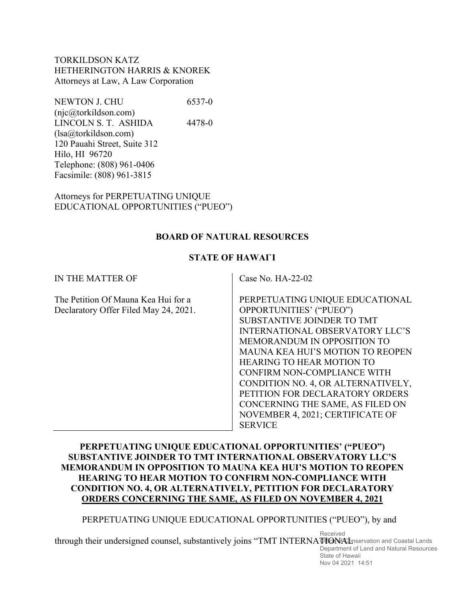TORKILDSON KATZ HETHERINGTON HARRIS & KNOREK Attorneys at Law, A Law Corporation

NEWTON J. CHU 6537-0 (njc@torkildson.com) LINCOLN S. T. ASHIDA 4478-0 (lsa@torkildson.com) 120 Pauahi Street, Suite 312 Hilo, HI 96720 Telephone: (808) 961-0406 Facsimile: (808) 961-3815

Attorneys for PERPETUATING UNIQUE EDUCATIONAL OPPORTUNITIES ("PUEO")

#### **BOARD OF NATURAL RESOURCES**

#### **STATE OF HAWAI`I**

| IN THE MATTER OF                                                             | Case No. $HA-22-02$                                                                                                                                                                                                                                                                                                                                                                                                                                |
|------------------------------------------------------------------------------|----------------------------------------------------------------------------------------------------------------------------------------------------------------------------------------------------------------------------------------------------------------------------------------------------------------------------------------------------------------------------------------------------------------------------------------------------|
| The Petition Of Mauna Kea Hui for a<br>Declaratory Offer Filed May 24, 2021. | PERPETUATING UNIQUE EDUCATIONAL<br>OPPORTUNITIES' ("PUEO")<br>SUBSTANTIVE JOINDER TO TMT<br><b>INTERNATIONAL OBSERVATORY LLC'S</b><br>MEMORANDUM IN OPPOSITION TO<br><b>MAUNA KEA HUI'S MOTION TO REOPEN</b><br><b>HEARING TO HEAR MOTION TO</b><br>CONFIRM NON-COMPLIANCE WITH<br>CONDITION NO. 4, OR ALTERNATIVELY,<br>PETITION FOR DECLARATORY ORDERS<br>CONCERNING THE SAME, AS FILED ON<br>NOVEMBER 4, 2021; CERTIFICATE OF<br><b>SERVICE</b> |

## **PERPETUATING UNIQUE EDUCATIONAL OPPORTUNITIES' ("PUEO") SUBSTANTIVE JOINDER TO TMT INTERNATIONAL OBSERVATORY LLC'S MEMORANDUM IN OPPOSITION TO MAUNA KEA HUI'S MOTION TO REOPEN HEARING TO HEAR MOTION TO CONFIRM NON-COMPLIANCE WITH CONDITION NO. 4, OR ALTERNATIVELY, PETITION FOR DECLARATORY ORDERS CONCERNING THE SAME, AS FILED ON NOVEMBER 4, 2021**

### PERPETUATING UNIQUE EDUCATIONAL OPPORTUNITIES ("PUEO"), by and

through their undersigned counsel, substantively joins "TMT INTERNATIONA Deservation and Coastal Lands Received

Department of Land and Natural Resources State of Hawaii Nov 04 2021 14:51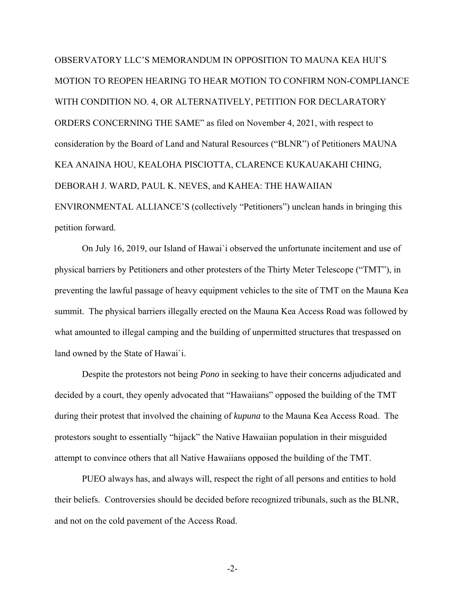OBSERVATORY LLC'S MEMORANDUM IN OPPOSITION TO MAUNA KEA HUI'S MOTION TO REOPEN HEARING TO HEAR MOTION TO CONFIRM NON-COMPLIANCE WITH CONDITION NO. 4, OR ALTERNATIVELY, PETITION FOR DECLARATORY ORDERS CONCERNING THE SAME" as filed on November 4, 2021, with respect to consideration by the Board of Land and Natural Resources ("BLNR") of Petitioners MAUNA KEA ANAINA HOU, KEALOHA PISCIOTTA, CLARENCE KUKAUAKAHI CHING, DEBORAH J. WARD, PAUL K. NEVES, and KAHEA: THE HAWAIIAN ENVIRONMENTAL ALLIANCE'S (collectively "Petitioners") unclean hands in bringing this petition forward.

On July 16, 2019, our Island of Hawai`i observed the unfortunate incitement and use of physical barriers by Petitioners and other protesters of the Thirty Meter Telescope ("TMT"), in preventing the lawful passage of heavy equipment vehicles to the site of TMT on the Mauna Kea summit. The physical barriers illegally erected on the Mauna Kea Access Road was followed by what amounted to illegal camping and the building of unpermitted structures that trespassed on land owned by the State of Hawai`i.

Despite the protestors not being *Pono* in seeking to have their concerns adjudicated and decided by a court, they openly advocated that "Hawaiians" opposed the building of the TMT during their protest that involved the chaining of *kupuna* to the Mauna Kea Access Road. The protestors sought to essentially "hijack" the Native Hawaiian population in their misguided attempt to convince others that all Native Hawaiians opposed the building of the TMT.

PUEO always has, and always will, respect the right of all persons and entities to hold their beliefs. Controversies should be decided before recognized tribunals, such as the BLNR, and not on the cold pavement of the Access Road.

-2-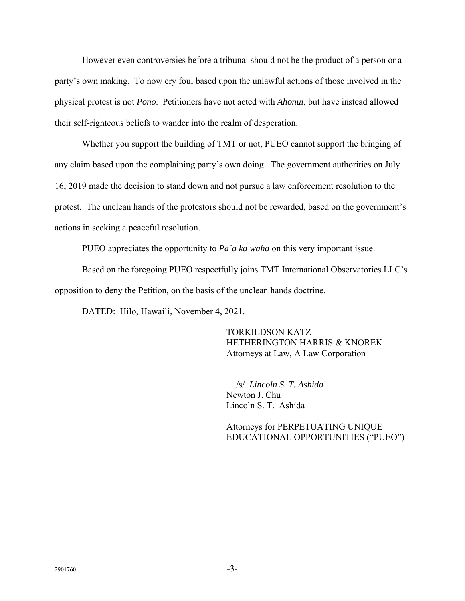However even controversies before a tribunal should not be the product of a person or a party's own making. To now cry foul based upon the unlawful actions of those involved in the physical protest is not *Pono*. Petitioners have not acted with *Ahonui*, but have instead allowed their self-righteous beliefs to wander into the realm of desperation.

Whether you support the building of TMT or not, PUEO cannot support the bringing of any claim based upon the complaining party's own doing. The government authorities on July 16, 2019 made the decision to stand down and not pursue a law enforcement resolution to the protest. The unclean hands of the protestors should not be rewarded, based on the government's actions in seeking a peaceful resolution.

PUEO appreciates the opportunity to *Pa`a ka waha* on this very important issue.

Based on the foregoing PUEO respectfully joins TMT International Observatories LLC's opposition to deny the Petition, on the basis of the unclean hands doctrine.

DATED: Hilo, Hawai`i, November 4, 2021.

TORKILDSON KATZ HETHERINGTON HARRIS & KNOREK Attorneys at Law, A Law Corporation

/s/ *Lincoln S. T. Ashida* 

Newton J. Chu Lincoln S. T. Ashida

Attorneys for PERPETUATING UNIQUE EDUCATIONAL OPPORTUNITIES ("PUEO")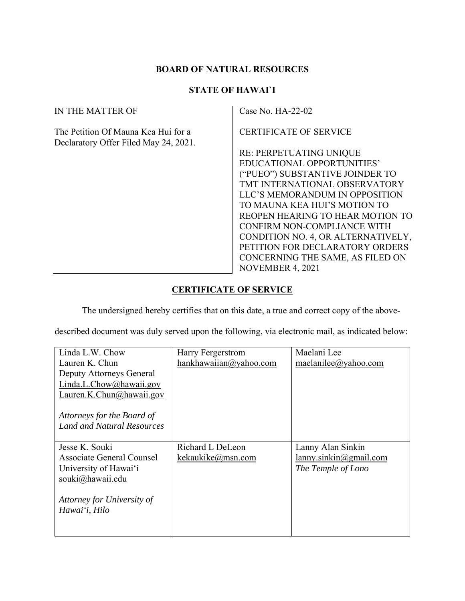# **BOARD OF NATURAL RESOURCES**

# **STATE OF HAWAI`I**

| IN THE MATTER OF                                                             | Case No. $HA-22-02$                                                                                                                                                                                                                                                                                                                                                                                                                     |
|------------------------------------------------------------------------------|-----------------------------------------------------------------------------------------------------------------------------------------------------------------------------------------------------------------------------------------------------------------------------------------------------------------------------------------------------------------------------------------------------------------------------------------|
| The Petition Of Mauna Kea Hui for a<br>Declaratory Offer Filed May 24, 2021. | <b>CERTIFICATE OF SERVICE</b><br><b>RE: PERPETUATING UNIQUE</b><br>EDUCATIONAL OPPORTUNITIES'<br>("PUEO") SUBSTANTIVE JOINDER TO<br>TMT INTERNATIONAL OBSERVATORY<br>LLC'S MEMORANDUM IN OPPOSITION<br>TO MAUNA KEA HUI'S MOTION TO<br>REOPEN HEARING TO HEAR MOTION TO<br>CONFIRM NON-COMPLIANCE WITH<br>CONDITION NO. 4, OR ALTERNATIVELY,<br>PETITION FOR DECLARATORY ORDERS<br>CONCERNING THE SAME, AS FILED ON<br>NOVEMBER 4, 2021 |

# **CERTIFICATE OF SERVICE**

The undersigned hereby certifies that on this date, a true and correct copy of the above-

described document was duly served upon the following, via electronic mail, as indicated below:

| Linda L.W. Chow                   | Harry Fergerstrom      | Maelani Lee            |
|-----------------------------------|------------------------|------------------------|
| Lauren K. Chun                    | hankhawaiian@yahoo.com | maelanilee@yahoo.com   |
| Deputy Attorneys General          |                        |                        |
| Linda.L.Chow@hawaii.gov           |                        |                        |
| Lauren.K.Chun@hawaii.gov          |                        |                        |
|                                   |                        |                        |
| Attorneys for the Board of        |                        |                        |
| <b>Land and Natural Resources</b> |                        |                        |
|                                   |                        |                        |
| Jesse K. Souki                    | Richard L DeLeon       | Lanny Alan Sinkin      |
| Associate General Counsel         | kekaukike@msn.com      | lanny.sinkin@gmail.com |
| University of Hawai'i             |                        | The Temple of Lono     |
| souki@hawaii.edu                  |                        |                        |
|                                   |                        |                        |
| Attorney for University of        |                        |                        |
| Hawai'i, Hilo                     |                        |                        |
|                                   |                        |                        |
|                                   |                        |                        |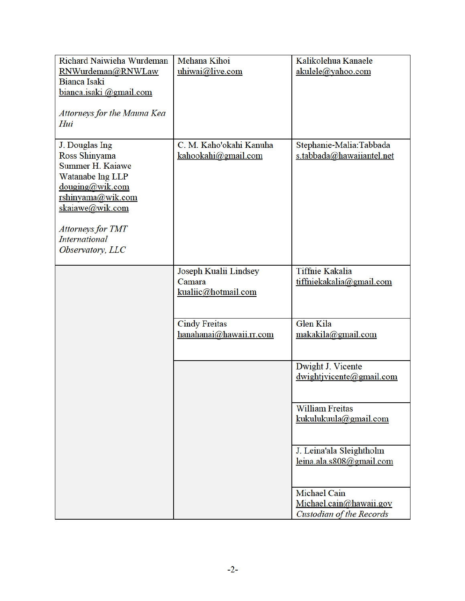| Richard Naiwieha Wurdeman                  | Mehana Kihoi            | Kalikolehua Kanaele                           |
|--------------------------------------------|-------------------------|-----------------------------------------------|
| RNWurdeman@RNWLaw                          | uhiwai@live.com         | akulele@yahoo.com                             |
| Bianca Isaki                               |                         |                                               |
| bianca.isaki @gmail.com                    |                         |                                               |
|                                            |                         |                                               |
| Attorneys for the Mauna Kea                |                         |                                               |
| Hui                                        |                         |                                               |
| J. Douglas Ing                             | C. M. Kaho'okahi Kanuha | Stephanie-Malia:Tabbada                       |
| Ross Shinyama                              | kahookahi@gmail.com     | s.tabbada@hawaiiantel.net                     |
| Summer H. Kaiawe                           |                         |                                               |
| Watanabe lng LLP                           |                         |                                               |
| $\frac{\text{douging}(a)}{\text{wik.com}}$ |                         |                                               |
| rshinyama@wik.com                          |                         |                                               |
| skaiawe@wik.com                            |                         |                                               |
|                                            |                         |                                               |
| Attorneys for TMT                          |                         |                                               |
| <b>International</b>                       |                         |                                               |
| Observatory, LLC                           |                         |                                               |
|                                            | Joseph Kualii Lindsey   | <b>Tiffnie Kakalia</b>                        |
|                                            | Camara                  | tiffniekakalia@gmail.com                      |
|                                            | kualiic@hotmail.com     |                                               |
|                                            |                         |                                               |
|                                            |                         |                                               |
|                                            | <b>Cindy Freitas</b>    | <b>Glen Kila</b>                              |
|                                            | hanahanai@hawaii.rr.com | makakila@gmail.com                            |
|                                            |                         |                                               |
|                                            |                         | Dwight J. Vicente                             |
|                                            |                         | $\frac{dwightivicente(\omega gmail.com)}{dx}$ |
|                                            |                         |                                               |
|                                            |                         |                                               |
|                                            |                         | <b>William Freitas</b>                        |
|                                            |                         | kukulukuula@gmail.com                         |
|                                            |                         |                                               |
|                                            |                         |                                               |
|                                            |                         | J. Leina'ala Sleightholm                      |
|                                            |                         | leina.ala.s808@gmail.com                      |
|                                            |                         |                                               |
|                                            |                         | Michael Cain                                  |
|                                            |                         | Michael.cain@hawaii.gov                       |
|                                            |                         | Custodian of the Records                      |